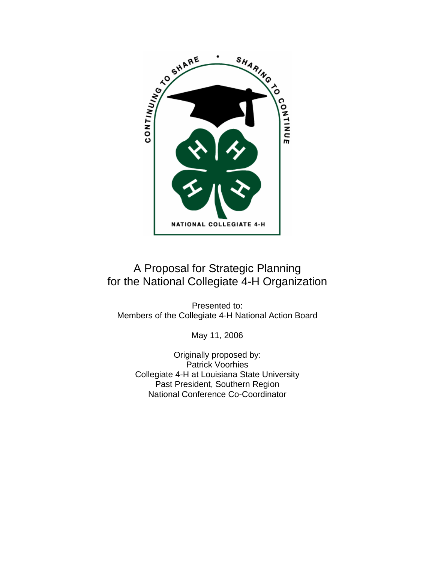

# A Proposal for Strategic Planning for the National Collegiate 4-H Organization

Presented to: Members of the Collegiate 4-H National Action Board

May 11, 2006

Originally proposed by: Patrick Voorhies Collegiate 4-H at Louisiana State University Past President, Southern Region National Conference Co-Coordinator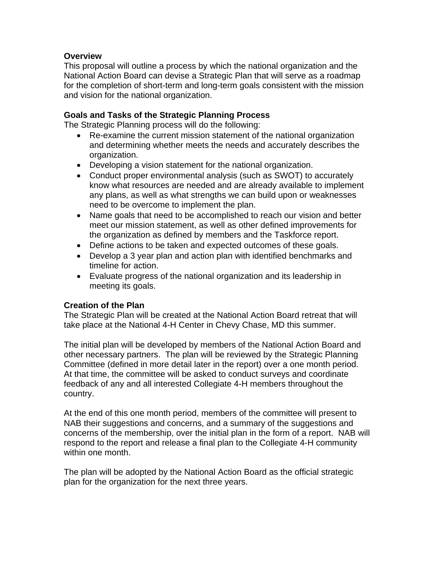### **Overview**

This proposal will outline a process by which the national organization and the National Action Board can devise a Strategic Plan that will serve as a roadmap for the completion of short-term and long-term goals consistent with the mission and vision for the national organization.

## **Goals and Tasks of the Strategic Planning Process**

The Strategic Planning process will do the following:

- Re-examine the current mission statement of the national organization and determining whether meets the needs and accurately describes the organization.
- Developing a vision statement for the national organization.
- Conduct proper environmental analysis (such as SWOT) to accurately know what resources are needed and are already available to implement any plans, as well as what strengths we can build upon or weaknesses need to be overcome to implement the plan.
- Name goals that need to be accomplished to reach our vision and better meet our mission statement, as well as other defined improvements for the organization as defined by members and the Taskforce report.
- Define actions to be taken and expected outcomes of these goals.
- Develop a 3 year plan and action plan with identified benchmarks and timeline for action.
- Evaluate progress of the national organization and its leadership in meeting its goals.

#### **Creation of the Plan**

The Strategic Plan will be created at the National Action Board retreat that will take place at the National 4-H Center in Chevy Chase, MD this summer.

The initial plan will be developed by members of the National Action Board and other necessary partners. The plan will be reviewed by the Strategic Planning Committee (defined in more detail later in the report) over a one month period. At that time, the committee will be asked to conduct surveys and coordinate feedback of any and all interested Collegiate 4-H members throughout the country.

At the end of this one month period, members of the committee will present to NAB their suggestions and concerns, and a summary of the suggestions and concerns of the membership, over the initial plan in the form of a report. NAB will respond to the report and release a final plan to the Collegiate 4-H community within one month.

The plan will be adopted by the National Action Board as the official strategic plan for the organization for the next three years.